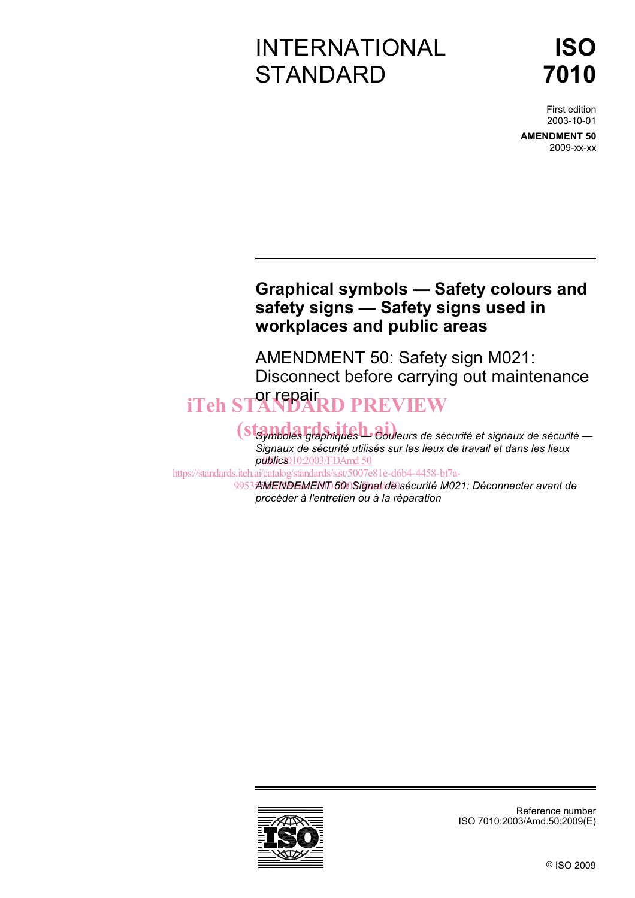## INTERNATIONAL **STANDARD**

# **ISO 7010**

First edition 2003-10-01

**AMENDMENT 50** 2009-xx-xx

### **Graphical symbols — Safety colours and safety signs — Safety signs used in workplaces and public areas**

AMENDMENT 50: Safety sign M021: Disconnect before carrying out maintenance or repair iTeh STANDARD PREVIEW

> *Standards graphiques — Couleurs de sécurité et signaux de sécurité — Signaux de sécurité utilisés sur les lieux de travail et dans les lieux publics*  ISO 7010:2003/FDAmd 50

https://standards.iteh.ai/catalog/standards/sist/5007e81e-d6b4-4458-bf7a-

9953AMENDEMENT 500Signal de sécurité M021: Déconnecter avant de *procéder à l'entretien ou à la réparation* 

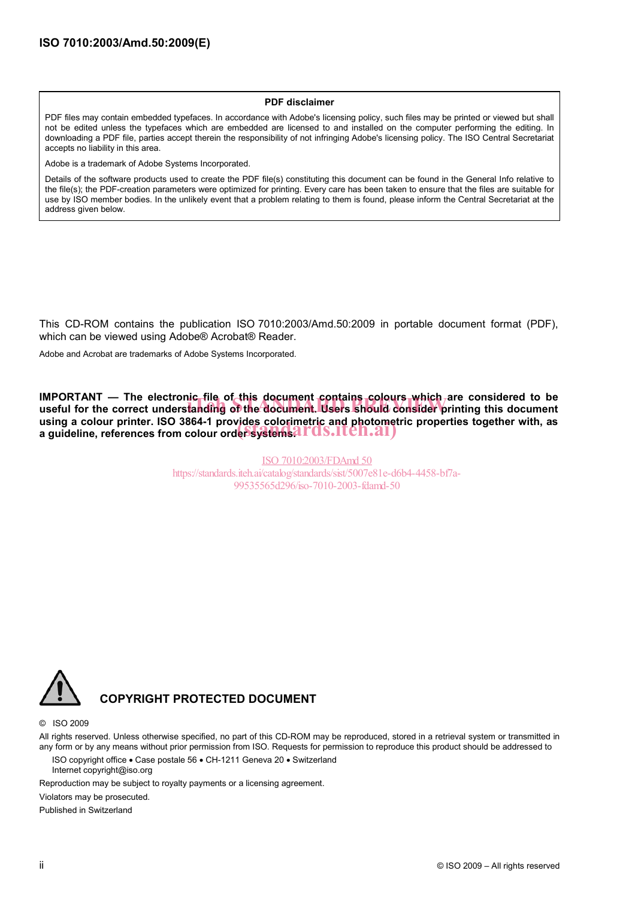#### **PDF disclaimer**

PDF files may contain embedded typefaces. In accordance with Adobe's licensing policy, such files may be printed or viewed but shall not be edited unless the typefaces which are embedded are licensed to and installed on the computer performing the editing. In downloading a PDF file, parties accept therein the responsibility of not infringing Adobe's licensing policy. The ISO Central Secretariat accepts no liability in this area.

Adobe is a trademark of Adobe Systems Incorporated.

Details of the software products used to create the PDF file(s) constituting this document can be found in the General Info relative to the file(s); the PDF-creation parameters were optimized for printing. Every care has been taken to ensure that the files are suitable for use by ISO member bodies. In the unlikely event that a problem relating to them is found, please inform the Central Secretariat at the address given below.

This CD-ROM contains the publication ISO 7010:2003/Amd.50:2009 in portable document format (PDF), which can be viewed using Adobe® Acrobat® Reader.

Adobe and Acrobat are trademarks of Adobe Systems Incorporated.

**IMPORTANT — The electronic file of this document contains colours which are considered to be** IMPORTANT — The electronic tile of this document contains colours which are considered to be<br>useful for the correct understanding of the document. Users should consider printing this document **using a colour printer. ISO 3864-1 provides colorimetric and photometric properties together with, as**  using a colour printer. ISO 3864-1 provides colorimetric and photomet**rically**<br>a guideline, references from colour order systems?LTQS.LTCN.21)

> ISO 7010:2003/FDAmd 50 https://standards.iteh.ai/catalog/standards/sist/5007e81e-d6b4-4458-bf7a-99535565d296/iso-7010-2003-fdamd-50



#### **COPYRIGHT PROTECTED DOCUMENT**

© ISO 2009

All rights reserved. Unless otherwise specified, no part of this CD-ROM may be reproduced, stored in a retrieval system or transmitted in any form or by any means without prior permission from ISO. Requests for permission to reproduce this product should be addressed to

ISO copyright office • Case postale 56 • CH-1211 Geneva 20 • Switzerland Internet copyright@iso.org

Reproduction may be subject to royalty payments or a licensing agreement.

Violators may be prosecuted.

Published in Switzerland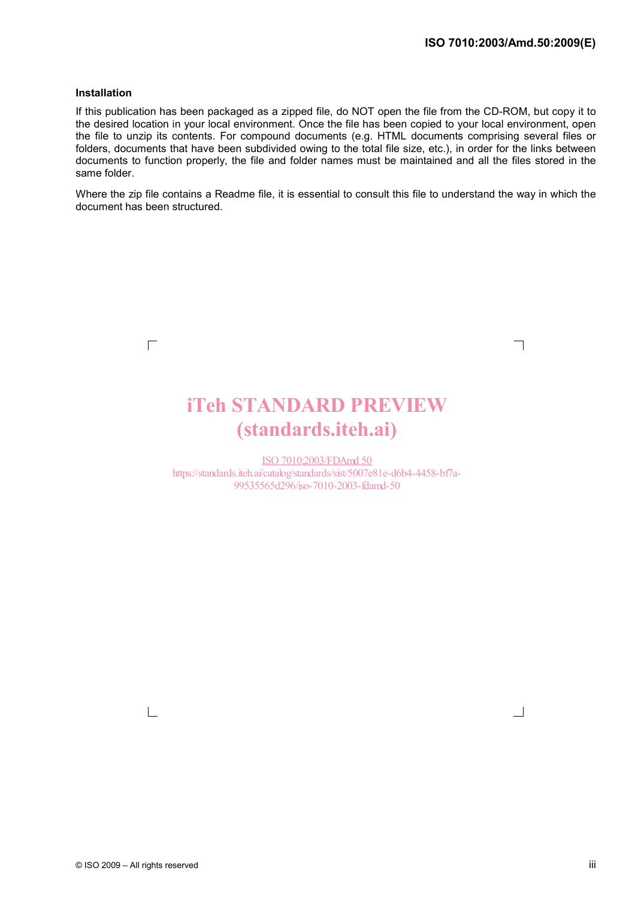┑

 $\Box$ 

#### **Installation**

 $\Gamma$ 

If this publication has been packaged as a zipped file, do NOT open the file from the CD-ROM, but copy it to the desired location in your local environment. Once the file has been copied to your local environment, open the file to unzip its contents. For compound documents (e.g. HTML documents comprising several files or folders, documents that have been subdivided owing to the total file size, etc.), in order for the links between documents to function properly, the file and folder names must be maintained and all the files stored in the same folder.

Where the zip file contains a Readme file, it is essential to consult this file to understand the way in which the document has been structured.

# **iTeh STANDARD PREVIEW**<br>
(standards.iteh.ai)<br>
https://standards.iteh.ai/202003/FDAmd.50<br>
https://standards.iteh.ai/catalog/standards/six/5007e81e-d6b4-4458-bf7a-<br>
99535565d296/iso-7010-2003-filamd-50 (standards.iteh.ai)

ISO 7010:2003/FDAmd 50 https://standards.iteh.ai/catalog/standards/sist/5007e81e-d6b4-4458-bf7a-99535565d296/iso-7010-2003-fdamd-50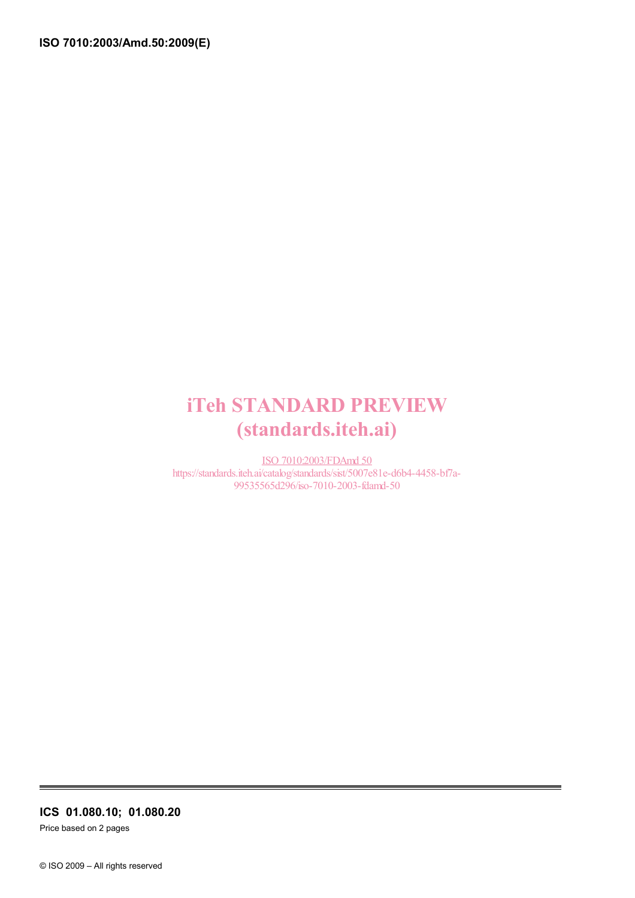## iTeh STANDARD PREVIEW (standards.iteh.ai)

ISO 7010:2003/FDAmd 50 https://standards.iteh.ai/catalog/standards/sist/5007e81e-d6b4-4458-bf7a-99535565d296/iso-7010-2003-fdamd-50

**ICS 01.080.10; 01.080.20** 

Price based on 2 pages